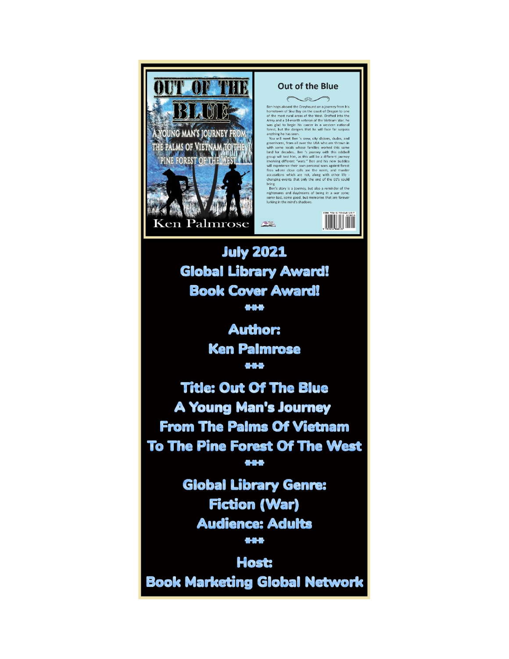

**Global Library Award! Book Cover Award!** \*\*\*

> **Author: Ken Palmrose** 444

**Title: Out Of The Blue A Young Man's Journey From The Palms Of Vietnam To The Pine Forest Of The West** \*\*\*

> **Global Library Genre: Fiction (War) Audience: Adults** \*\*\*

**Host: Book Marketing Global Network**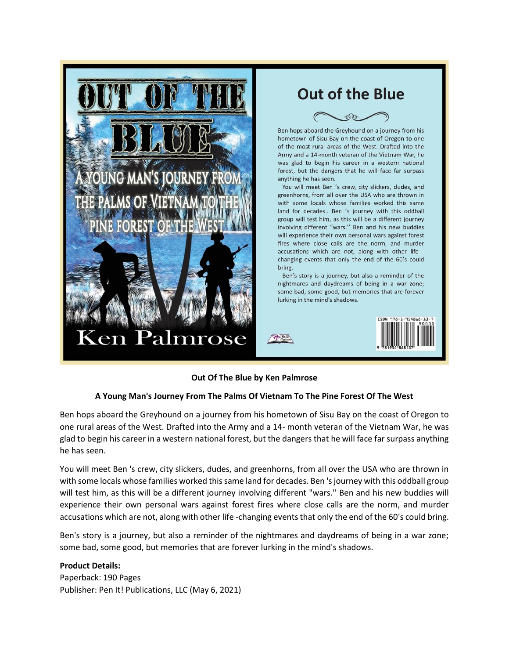

## **Out Of The Blue by Ken Palmrose**

## **A Young Man's Journey From The Palms Of Vietnam To The Pine Forest Of The West**

Ben hops aboard the Greyhound on a journey from his hometown of Sisu Bay on the coast of Oregon to one rural areas of the West. Drafted into the Army and a 14- month veteran of the Vietnam War, he was glad to begin his career in a western national forest, but the dangers that he will face far surpass anything he has seen.

You will meet Ben 's crew, city slickers, dudes, and greenhorns, from all over the USA who are thrown in with some locals whose families worked this same land for decades. Ben 's journey with this oddball group will test him, as this will be a different journey involving different "wars.'' Ben and his new buddies will experience their own personal wars against forest fires where close calls are the norm, and murder accusations which are not, along with other life -changing events that only the end of the 60's could bring.

Ben's story is a journey, but also a reminder of the nightmares and daydreams of being in a war zone; some bad, some good, but memories that are forever lurking in the mind's shadows.

#### **Product Details:**

Paperback: 190 Pages Publisher: Pen It! Publications, LLC (May 6, 2021)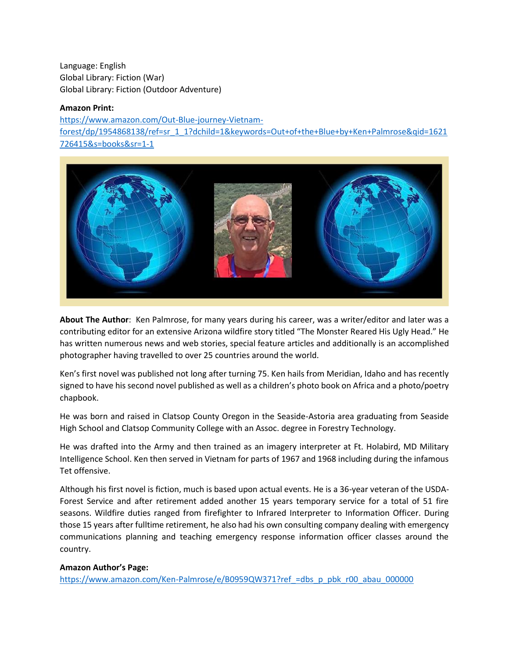Language: English Global Library: Fiction (War) Global Library: Fiction (Outdoor Adventure)

#### **Amazon Print:**

[https://www.amazon.com/Out-Blue-journey-Vietnam](https://www.amazon.com/Out-Blue-journey-Vietnam-forest/dp/1954868138/ref=sr_1_1?dchild=1&keywords=Out+of+the+Blue+by+Ken+Palmrose&qid=1621726415&s=books&sr=1-1)[forest/dp/1954868138/ref=sr\\_1\\_1?dchild=1&keywords=Out+of+the+Blue+by+Ken+Palmrose&qid=1621](https://www.amazon.com/Out-Blue-journey-Vietnam-forest/dp/1954868138/ref=sr_1_1?dchild=1&keywords=Out+of+the+Blue+by+Ken+Palmrose&qid=1621726415&s=books&sr=1-1) [726415&s=books&sr=1-1](https://www.amazon.com/Out-Blue-journey-Vietnam-forest/dp/1954868138/ref=sr_1_1?dchild=1&keywords=Out+of+the+Blue+by+Ken+Palmrose&qid=1621726415&s=books&sr=1-1)



**About The Author**: Ken Palmrose, for many years during his career, was a writer/editor and later was a contributing editor for an extensive Arizona wildfire story titled "The Monster Reared His Ugly Head." He has written numerous news and web stories, special feature articles and additionally is an accomplished photographer having travelled to over 25 countries around the world.

Ken's first novel was published not long after turning 75. Ken hails from Meridian, Idaho and has recently signed to have his second novel published as well as a children's photo book on Africa and a photo/poetry chapbook.

He was born and raised in Clatsop County Oregon in the Seaside-Astoria area graduating from Seaside High School and Clatsop Community College with an Assoc. degree in Forestry Technology.

He was drafted into the Army and then trained as an imagery interpreter at Ft. Holabird, MD Military Intelligence School. Ken then served in Vietnam for parts of 1967 and 1968 including during the infamous Tet offensive.

Although his first novel is fiction, much is based upon actual events. He is a 36-year veteran of the USDA-Forest Service and after retirement added another 15 years temporary service for a total of 51 fire seasons. Wildfire duties ranged from firefighter to Infrared Interpreter to Information Officer. During those 15 years after fulltime retirement, he also had his own consulting company dealing with emergency communications planning and teaching emergency response information officer classes around the country.

## **Amazon Author's Page:**

https://www.amazon.com/Ken-Palmrose/e/B0959QW371?ref =dbs\_p\_pbk\_r00\_abau\_000000